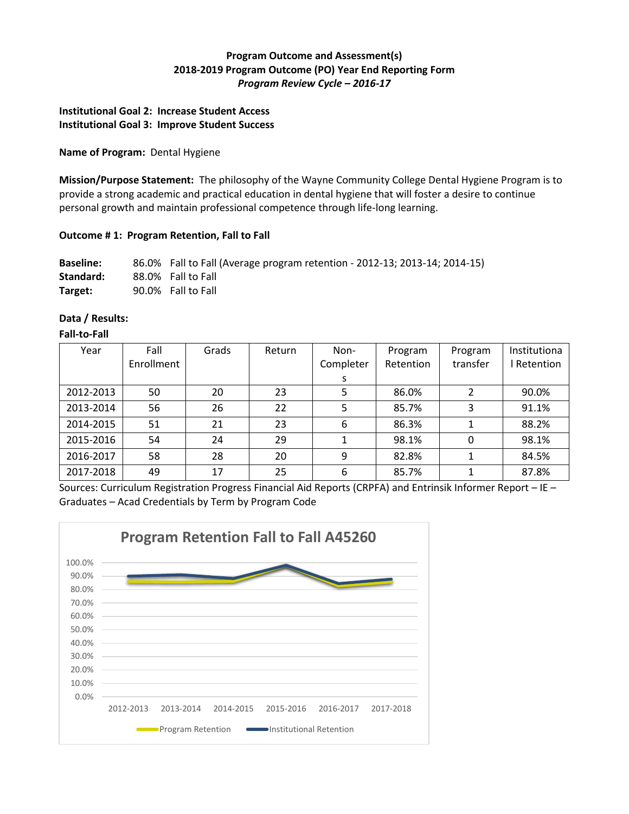# **Program Outcome and Assessment(s) 2018-2019 Program Outcome (PO) Year End Reporting Form** *Program Review Cycle – 2016-17*

# **Institutional Goal 2: Increase Student Access Institutional Goal 3: Improve Student Success**

#### **Name of Program:** Dental Hygiene

**Mission/Purpose Statement:** The philosophy of the Wayne Community College Dental Hygiene Program is to provide a strong academic and practical education in dental hygiene that will foster a desire to continue personal growth and maintain professional competence through life-long learning.

# **Outcome # 1: Program Retention, Fall to Fall**

| <b>Baseline:</b> | 86.0% Fall to Fall (Average program retention - 2012-13; 2013-14; 2014-15) |
|------------------|----------------------------------------------------------------------------|
| Standard:        | 88.0% Fall to Fall                                                         |
| Target:          | 90.0% Fall to Fall                                                         |

# **Data / Results:**

### **Fall-to-Fall**

| Year      | Fall<br>Enrollment | Grads | Return | Non-<br>Completer | Program<br>Retention | Program<br>transfer      | Institutiona<br>Retention |
|-----------|--------------------|-------|--------|-------------------|----------------------|--------------------------|---------------------------|
|           |                    |       |        | S                 |                      |                          |                           |
| 2012-2013 | 50                 | 20    | 23     | 5                 | 86.0%                | $\overline{\mathcal{L}}$ | 90.0%                     |
| 2013-2014 | 56                 | 26    | 22     | 5                 | 85.7%                | 3                        | 91.1%                     |
| 2014-2015 | 51                 | 21    | 23     | 6                 | 86.3%                |                          | 88.2%                     |
| 2015-2016 | 54                 | 24    | 29     |                   | 98.1%                | 0                        | 98.1%                     |
| 2016-2017 | 58                 | 28    | 20     | 9                 | 82.8%                | 1                        | 84.5%                     |
| 2017-2018 | 49                 | 17    | 25     | 6                 | 85.7%                |                          | 87.8%                     |

Sources: Curriculum Registration Progress Financial Aid Reports (CRPFA) and Entrinsik Informer Report – IE – Graduates – Acad Credentials by Term by Program Code

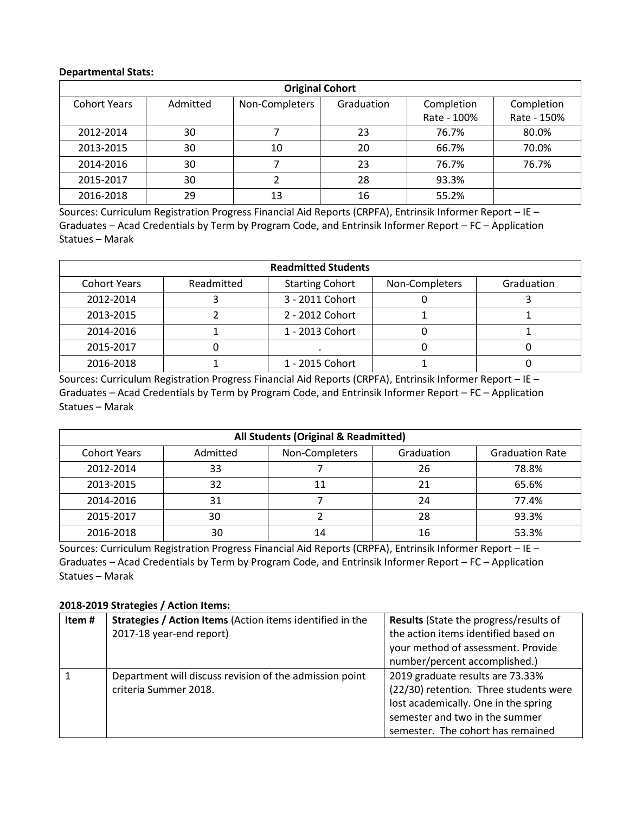#### **Departmental Stats:**

| <b>Original Cohort</b> |          |                |            |             |             |  |
|------------------------|----------|----------------|------------|-------------|-------------|--|
| <b>Cohort Years</b>    | Admitted | Non-Completers | Graduation | Completion  | Completion  |  |
|                        |          |                |            | Rate - 100% | Rate - 150% |  |
| 2012-2014              | 30       |                | 23         | 76.7%       | 80.0%       |  |
| 2013-2015              | 30       | 10             | 20         | 66.7%       | 70.0%       |  |
| 2014-2016              | 30       |                | 23         | 76.7%       | 76.7%       |  |
| 2015-2017              | 30       |                | 28         | 93.3%       |             |  |
| 2016-2018              | 29       | 13             | 16         | 55.2%       |             |  |

Sources: Curriculum Registration Progress Financial Aid Reports (CRPFA), Entrinsik Informer Report – IE – Graduates – Acad Credentials by Term by Program Code, and Entrinsik Informer Report – FC – Application Statues – Marak

| <b>Readmitted Students</b> |            |                        |                |            |  |
|----------------------------|------------|------------------------|----------------|------------|--|
| <b>Cohort Years</b>        | Readmitted | <b>Starting Cohort</b> | Non-Completers | Graduation |  |
| 2012-2014                  |            | 3 - 2011 Cohort        |                |            |  |
| 2013-2015                  |            | 2 - 2012 Cohort        |                |            |  |
| 2014-2016                  |            | 1 - 2013 Cohort        |                |            |  |
| 2015-2017                  |            |                        |                |            |  |
| 2016-2018                  |            | 1 - 2015 Cohort        |                |            |  |

Sources: Curriculum Registration Progress Financial Aid Reports (CRPFA), Entrinsik Informer Report – IE – Graduates – Acad Credentials by Term by Program Code, and Entrinsik Informer Report – FC – Application Statues – Marak

| All Students (Original & Readmitted) |          |                |            |                        |  |
|--------------------------------------|----------|----------------|------------|------------------------|--|
| <b>Cohort Years</b>                  | Admitted | Non-Completers | Graduation | <b>Graduation Rate</b> |  |
| 2012-2014                            | 33       |                | 26         | 78.8%                  |  |
| 2013-2015                            | 32       | 11             | 21         | 65.6%                  |  |
| 2014-2016                            | 31       |                | 24         | 77.4%                  |  |
| 2015-2017                            | 30       |                | 28         | 93.3%                  |  |
| 2016-2018                            | 30       | 14             | 16         | 53.3%                  |  |

Sources: Curriculum Registration Progress Financial Aid Reports (CRPFA), Entrinsik Informer Report – IE – Graduates – Acad Credentials by Term by Program Code, and Entrinsik Informer Report – FC – Application Statues – Marak

# **2018-2019 Strategies / Action Items:**

| Item# | Strategies / Action Items (Action items identified in the | <b>Results</b> (State the progress/results of |
|-------|-----------------------------------------------------------|-----------------------------------------------|
|       | 2017-18 year-end report)                                  | the action items identified based on          |
|       |                                                           | your method of assessment. Provide            |
|       |                                                           | number/percent accomplished.)                 |
|       | Department will discuss revision of the admission point   | 2019 graduate results are 73.33%              |
|       | criteria Summer 2018.                                     | (22/30) retention. Three students were        |
|       |                                                           | lost academically. One in the spring          |
|       |                                                           | semester and two in the summer                |
|       |                                                           | semester. The cohort has remained             |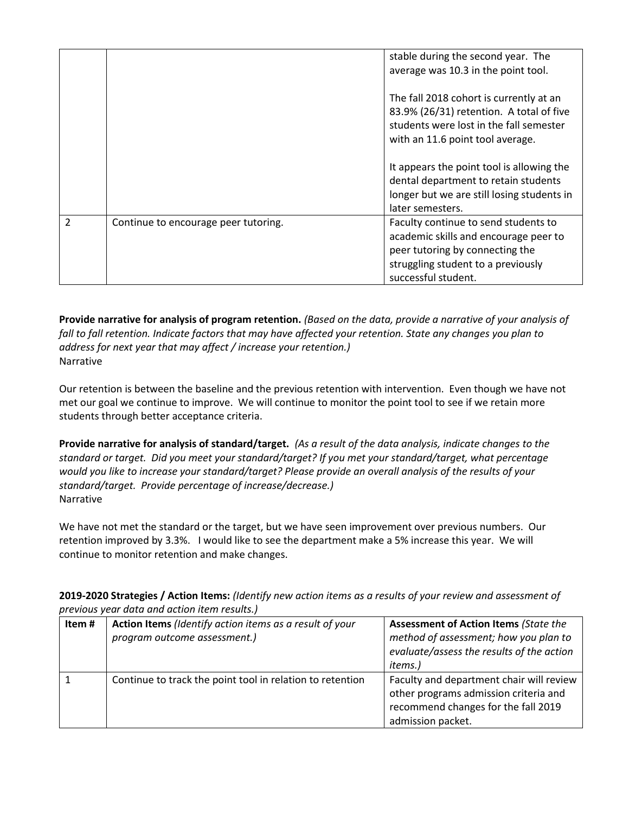|                |                                      | stable during the second year. The<br>average was 10.3 in the point tool.                                                                                                     |
|----------------|--------------------------------------|-------------------------------------------------------------------------------------------------------------------------------------------------------------------------------|
|                |                                      | The fall 2018 cohort is currently at an<br>83.9% (26/31) retention. A total of five<br>students were lost in the fall semester<br>with an 11.6 point tool average.            |
|                |                                      | It appears the point tool is allowing the<br>dental department to retain students<br>longer but we are still losing students in<br>later semesters.                           |
| $\mathfrak{p}$ | Continue to encourage peer tutoring. | Faculty continue to send students to<br>academic skills and encourage peer to<br>peer tutoring by connecting the<br>struggling student to a previously<br>successful student. |

**Provide narrative for analysis of program retention.** *(Based on the data, provide a narrative of your analysis of fall to fall retention. Indicate factors that may have affected your retention. State any changes you plan to address for next year that may affect / increase your retention.)*  Narrative

Our retention is between the baseline and the previous retention with intervention. Even though we have not met our goal we continue to improve. We will continue to monitor the point tool to see if we retain more students through better acceptance criteria.

**Provide narrative for analysis of standard/target.** *(As a result of the data analysis, indicate changes to the standard or target. Did you meet your standard/target? If you met your standard/target, what percentage would you like to increase your standard/target? Please provide an overall analysis of the results of your standard/target. Provide percentage of increase/decrease.)*  Narrative

We have not met the standard or the target, but we have seen improvement over previous numbers. Our retention improved by 3.3%. I would like to see the department make a 5% increase this year. We will continue to monitor retention and make changes.

| 2019-2020 Strategies / Action Items: (Identify new action items as a results of your review and assessment of |
|---------------------------------------------------------------------------------------------------------------|
| previous year data and action item results.)                                                                  |

| Item# | Action Items (Identify action items as a result of your<br>program outcome assessment.) | <b>Assessment of Action Items (State the</b><br>method of assessment; how you plan to<br>evaluate/assess the results of the action<br>items.) |
|-------|-----------------------------------------------------------------------------------------|-----------------------------------------------------------------------------------------------------------------------------------------------|
|       | Continue to track the point tool in relation to retention                               | Faculty and department chair will review<br>other programs admission criteria and<br>recommend changes for the fall 2019<br>admission packet. |